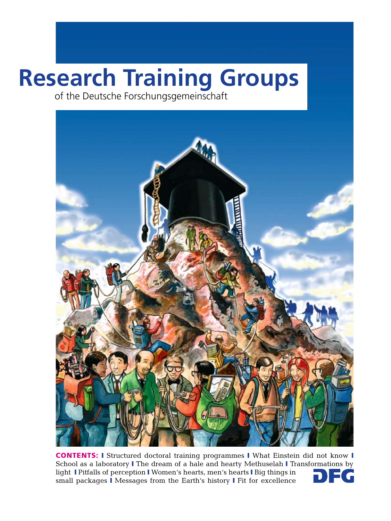# **Research Training Groups**

 of the Deutsche Forschungsgemeinschaft



CONTENTS: I Structured doctoral training programmes I What Einstein did not know I School as a laboratory I The dream of a hale and hearty Methuselah I Transformations by light I Pitfalls of perception I Women's hearts, men's hearts I Big things in small packages I Messages from the Earth's history I Fit for excellence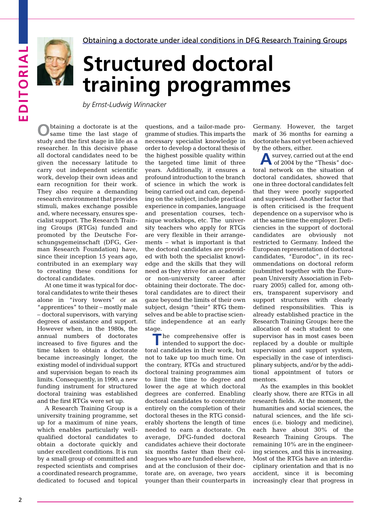

Obtaining a doctorate under ideal conditions in DFG Research Training Groups

# **Structured doctoral training programmes**

*by Ernst-Ludwig Winnacker*

**O**btaining a doctorate is at the same time the last stage of study and the first stage in life as a researcher. In this decisive phase all doctoral candidates need to be given the necessary latitude to carry out independent scientific work, develop their own ideas and earn recognition for their work. They also require a demanding research environment that provides stimuli, makes exchange possible and, where necessary, ensures specialist support. The Research Training Groups (RTGs) funded and promoted by the Deutsche Forschungsgemeinschaft (DFG, German Research Foundation) have, since their inception 15 years ago, contributed in an exemplary way to creating these conditions for doctoral candidates.

At one time it was typical for doctoral candidates to write their theses alone in "ivory towers" or as "apprentices" to their – mostly male – doctoral supervisors, with varying degrees of assistance and support. However when, in the 1980s, the annual numbers of doctorates increased to five figures and the time taken to obtain a doctorate became increasingly longer, the existing model of individual support and supervision began to reach its limits. Consequently, in 1990, a new funding instrument for structured doctoral training was established and the first RTGs were set up.

A Research Training Group is a university training programme, set up for a maximum of nine years, which enables particularly wellqualified doctoral candidates to obtain a doctorate quickly and under excellent conditions. It is run by a small group of committed and respected scientists and comprises a coordinated research programme, dedicated to focused and topical

questions, and a tailor-made programme of studies. This imparts the necessary specialist knowledge in order to develop a doctoral thesis of the highest possible quality within the targeted time limit of three years. Additionally, it ensures a profound introduction to the branch of science in which the work is being carried out and can, depending on the subject, include practical experience in companies, language and presentation courses, technique workshops, etc. The university teachers who apply for RTGs are very flexible in their arrangements – what is important is that the doctoral candidates are provided with both the specialist knowledge and the skills that they will need as they strive for an academic or non-university career after obtaining their doctorate. The doctoral candidates are to direct their gaze beyond the limits of their own subject, design "their" RTG themselves and be able to practise scientific independence at an early stage.

The comprehensive offer is<br>intended to support the doctoral candidates in their work, but not to take up too much time. On the contrary, RTGs and structured doctoral training programmes aim to limit the time to degree and lower the age at which doctoral degrees are conferred. Enabling doctoral candidates to concentrate entirely on the completion of their doctoral theses in the RTG considerably shortens the length of time needed to earn a doctorate. On average, DFG-funded doctoral candidates achieve their doctorate six months faster than their colleagues who are funded elsewhere, and at the conclusion of their doctorate are, on average, two years younger than their counterparts in Germany. However, the target mark of 36 months for earning a doctorate has not yet been achieved by the others, either.

**A** survey, carried out at the end of 2004 by the "Thesis" doctoral network on the situation of doctoral candidates, showed that one in three doctoral candidates felt that they were poorly supported and supervised. Another factor that is often criticised is the frequent dependence on a supervisor who is at the same time the employer. Deficiencies in the support of doctoral candidates are obviously not restricted to Germany. Indeed the European representation of doctoral candidates, "Eurodoc", in its recommendations on doctoral reform (submitted together with the European University Association in February 2005) called for, among others, transparent supervisory and support structures with clearly defined responsibilities. This is already established practice in the Research Training Groups: here the allocation of each student to one supervisor has in most cases been replaced by a double or multiple supervision and support system, especially in the case of interdisciplinary subjects, and/or by the additional appointment of tutors or mentors.

As the examples in this booklet clearly show, there are RTGs in all research fields. At the moment, the humanities and social sciences, the natural sciences, and the life sciences (i.e. biology and medicine), each have about 30% of the Research Training Groups. The remaining 10% are in the engineering sciences, and this is increasing. Most of the RTGs have an interdisciplinary orientation and that is no accident, since it is becoming increasingly clear that progress in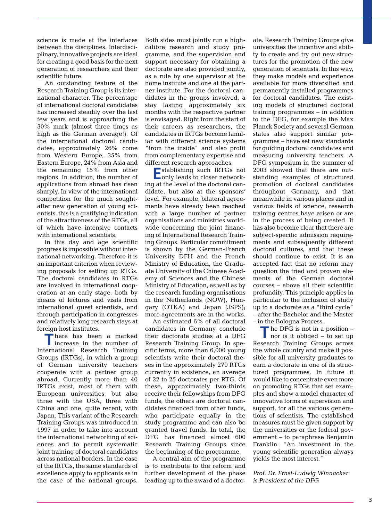science is made at the interfaces between the disciplines. Interdisciplinary, innovative projects are ideal for creating a good basis for the next generation of researchers and their scientific future.

An outstanding feature of the Research Training Group is its international character. The percentage of international doctoral candidates has increased steadily over the last few years and is approaching the 30% mark (almost three times as high as the German average!). Of the international doctoral candidates, approximately 26% come from Western Europe, 35% from Eastern Europe, 24% from Asia and the remaining 15% from other regions. In addition, the number of applications from abroad has risen sharply. In view of the international competition for the much soughtafter new generation of young scientists, this is a gratifying indication of the attractiveness of the RTGs, all of which have intensive contacts with international scientists.

In this day and age scientific progress is impossible without international networking. Therefore it is an important criterion when reviewing proposals for setting up RTGs. The doctoral candidates in RTGs are involved in international cooperation at an early stage, both by means of lectures and visits from international guest scientists, and through participation in congresses and relatively long research stays at

foreign host institutes.<br>There has been a marked **T** here has been a marked increase in the number of International Research Training Groups (IRTGs), in which a group of German university teachers cooperate with a partner group abroad. Currently more than 40 IRTGs exist, most of them with European universities, but also three with the USA, three with China and one, quite recent, with Japan. This variant of the Research Training Groups was introduced in 1997 in order to take into account the international networking of sciences and to permit systematic joint training of doctoral candidates across national borders. In the case of the IRTGs, the same standards of excellence apply to applicants as in the case of the national groups.

Both sides must jointly run a highcalibre research and study programme, and the supervision and support necessary for obtaining a doctorate are also provided jointly, as a rule by one supervisor at the home institute and one at the partner institute. For the doctoral candidates in the groups involved, a stay lasting approximately six months with the respective partner is envisaged. Right from the start of their careers as researchers, the candidates in IRTGs become familiar with different science systems "from the inside" and also profit from complementary expertise and different research approaches.

**E**stablishing such IRTGs not only leads to closer networking at the level of the doctoral candidate, but also at the sponsors' level. For example, bilateral agreements have already been reached with a large number of partner organisations and ministries worldwide concerning the joint financing of International Research Training Groups. Particular commitment is shown by the German-French University DFH and the French Ministry of Education, the Graduate University of the Chinese Academy of Sciences and the Chinese Ministry of Education, as well as by the research funding organisations in the Netherlands (NOW), Hungary (OTKA) and Japan (JSPS); more agreements are in the works.

An estimated 6% of all doctoral candidates in Germany conclude their doctorate studies at a DFG Research Training Group. In specific terms, more than 6,000 young scientists write their doctoral theses in the approximately 270 RTGs currently in existence, an average of 22 to 25 doctorates per RTG. Of these, approximately two-thirds receive their fellowships from DFG funds; the others are doctoral candidates financed from other funds, who participate equally in the study programme and can also be granted travel funds. In total, the DFG has financed almost 600 Research Training Groups since the beginning of the programme.

A central aim of the programme is to contribute to the reform and further development of the phase leading up to the award of a doctorate. Research Training Groups give universities the incentive and ability to create and try out new structures for the promotion of the new generation of scientists. In this way, they make models and experience available for more diversified and permanently installed programmes for doctoral candidates. The existing models of structured doctoral training programmes – in addition to the DFG, for example the Max Planck Society and several German states also support similar programmes – have set new standards for guiding doctoral candidates and measuring university teachers. A DFG symposium in the summer of 2003 showed that there are outstanding examples of structured promotion of doctoral candidates throughout Germany, and that meanwhile in various places and in various fields of science, research training centres have arisen or are in the process of being created. It has also become clear that there are subject-specific admission requirements and subsequently different doctoral cultures, and that these should continue to exist. It is an accepted fact that no reform may question the tried and proven elements of the German doctoral courses – above all their scientific profundity. This principle applies in particular to the inclusion of study up to a doctorate as a "third cycle" – after the Bachelor and the Master – in the Bologna Process.

**T** he DFG is not in a position – nor is it obliged – to set up Research Training Groups across the whole country and make it possible for all university graduates to earn a doctorate in one of its structured programmes. In future it would like to concentrate even more on promoting RTGs that set examples and show a model character of innovative forms of supervision and support, for all the various generations of scientists. The established measures must be given support by the universities or the federal government – to paraphrase Benjamin Franklin: "An investment in the young scientific generation always yields the most interest."

*Prof. Dr. Ernst-Ludwig Winnacker is President of the DFG*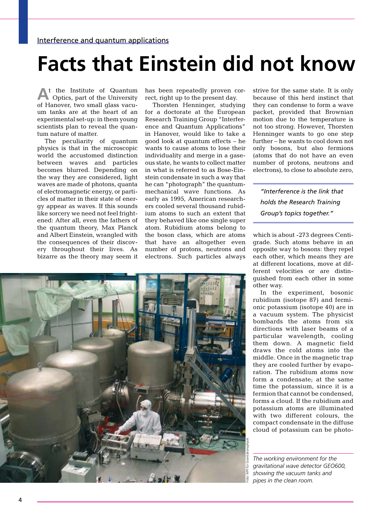#### **Facts that Einstein did not know**

**A**t the Institute of Quantum Optics, part of the University of Hanover, two small glass vacuum tanks are at the heart of an experimental set-up: in them young scientists plan to reveal the quantum nature of matter.

The peculiarity of quantum physics is that in the microscopic world the accustomed distinction between waves and particles becomes blurred. Depending on the way they are considered, light waves are made of photons, quanta of electromagnetic energy, or particles of matter in their state of energy appear as waves. If this sounds like sorcery we need not feel frightened: After all, even the fathers of the quantum theory, Max Planck and Albert Einstein, wrangled with the consequences of their discovery throughout their lives. As bizarre as the theory may seem it

has been repeatedly proven correct, right up to the present day.

Thorsten Henninger, studying for a doctorate at the European Research Training Group "Interference and Quantum Applications" in Hanover, would like to take a good look at quantum effects – he wants to cause atoms to lose their individuality and merge in a gaseous state, he wants to collect matter in what is referred to as Bose-Einstein condensate in such a way that he can "photograph" the quantummechanical wave functions. As early as 1995, American researchers cooled several thousand rubidium atoms to such an extent that they behaved like one single super atom. Rubidium atoms belong to the boson class, which are atoms that have an altogether even number of protons, neutrons and electrons. Such particles always strive for the same state. It is only because of this herd instinct that they can condense to form a wave packet, provided that Brownian motion due to the temperature is not too strong. However, Thorsten Henninger wants to go one step further – he wants to cool down not only bosons, but also fermions (atoms that do not have an even number of protons, neutrons and electrons), to close to absolute zero,

*"Interference is the link that holds the Research Training Group's topics together."*

which is about -273 degrees Centigrade. Such atoms behave in an opposite way to bosons: they repel each other, which means they are at different locations, move at different velocities or are distinguished from each other in some other way.

In the experiment, bosonic rubidium (isotope 87) and fermionic potassium (isotope 40) are in a vacuum system. The physicist bombards the atoms from six directions with laser beams of a particular wavelength, cooling them down. A magnetic field draws the cold atoms into the middle. Once in the magnetic trap they are cooled further by evaporation. The rubidium atoms now form a condensate; at the same time the potassium, since it is a fermion that cannot be condensed, forms a cloud. If the rubidium and potassium atoms are illuminated with two different colours, the compact condensate in the diffuse cloud of potassium can be photo-

*The working environment for the gravitational wave detector GEO600, showing the vacuum tanks and pipes in the clean room.*

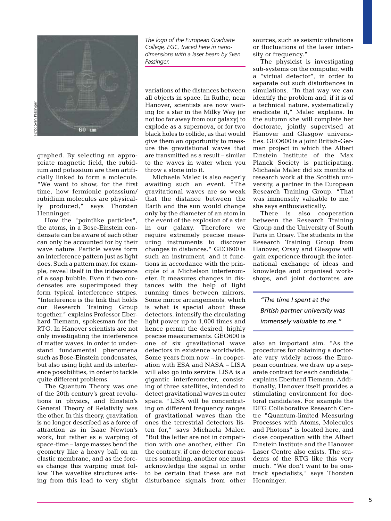

graphed. By selecting an appropriate magnetic field, the rubidium and potassium are then artificially linked to form a molecule. "We want to show, for the first time, how fermionic potassium/ rubidium molecules are physically produced," says Thorsten Henninger.

How the "pointlike particles", the atoms, in a Bose-Einstein condensate can be aware of each other can only be accounted for by their wave nature. Particle waves form an interference pattern just as light does. Such a pattern may, for example, reveal itself in the iridescence of a soap bubble. Even if two condensates are superimposed they form typical interference stripes. "Interference is the link that holds our Research Training Group together," explains Professor Eberhard Tiemann, spokesman for the RTG. In Hanover scientists are not only investigating the interference of matter waves, in order to understand fundamental phenomena such as Bose-Einstein condensates, but also using light and its interference possibilities, in order to tackle quite different problems.

The Quantum Theory was one of the 20th century's great revolutions in physics, and Einstein's General Theory of Relativity was the other. In this theory, gravitation is no longer described as a force of attraction as in Isaac Newton's work, but rather as a warping of space-time – large masses bend the geometry like a heavy ball on an elastic membrane, and as the forces change this warping must follow. The wavelike structures arising from this lead to very slight

*The logo of the European Graduate College, EGC, traced here in nanodimensions with a laser beam by Sven Passinger.*

variations of the distances between all objects in space. In Ruthe, near Hanover, scientists are now waiting for a star in the Milky Way (or not too far away from our galaxy) to explode as a supernova, or for two black holes to collide, as that would give them an opportunity to measure the gravitational waves that are transmitted as a result – similar to the waves in water when you throw a stone into it.

Michaela Malec is also eagerly awaiting such an event. "The gravitational waves are so weak that the distance between the Earth and the sun would change only by the diameter of an atom in the event of the explosion of a star in our galaxy. Therefore we require extremely precise measuring instruments to discover changes in distances." GEO600 is such an instrument, and it functions in accordance with the principle of a Michelson interferometer. It measures changes in distances with the help of light running times between mirrors. Some mirror arrangements, which is what is special about these detectors, intensify the circulating light power up to 1,000 times and hence permit the desired, highly precise measurements. GEO600 is one of six gravitational wave detectors in existence worldwide. Some years from now – in cooperation with ESA and NASA – LISA will also go into service. LISA is a gigantic interferometer, consisting of three satellites, intended to detect gravitational waves in outer space. "LISA will be concentrating on different frequency ranges of gravitational waves than the ones the terrestrial detectors listen for," says Michaela Malec. "But the latter are not in competition with one another, either. On the contrary, if one detector measures something, another one must acknowledge the signal in order to be certain that these are not disturbance signals from other sources, such as seismic vibrations or fluctuations of the laser intensity or frequency."

The physicist is investigating sub-systems on the computer, with a "virtual detector", in order to separate out such disturbances in simulations. "In that way we can identify the problem and, if it is of a technical nature, systematically eradicate it," Malec explains. In the autumn she will complete her doctorate, jointly supervised at Hanover and Glasgow universities. GEO600 is a joint British-German project in which the Albert Einstein Institute of the Max Planck Society is participating. Michaela Malec did six months of research work at the Scottish university, a partner in the European Research Training Group. "That was immensely valuable to me," she says enthusiastically.

There is also cooperation between the Research Training Group and the University of South Paris in Orsay. The students in the Research Training Group from Hanover, Orsay and Glasgow will gain experience through the international exchange of ideas and knowledge and organised workshops, and joint doctorates are

*"The time I spent at the British partner university was immensely valuable to me."*

also an important aim. "As the procedures for obtaining a doctorate vary widely across the European countries, we draw up a separate contract for each candidate," explains Eberhard Tiemann. Additionally, Hanover itself provides a stimulating environment for doctoral candidates. For example the DFG Collaborative Research Centre "Quantum-limited Measuring Processes with Atoms, Molecules and Photons" is located here, and close cooperation with the Albert Einstein Institute and the Hanover Laser Centre also exists. The students of the RTG like this very much. "We don't want to be onetrack specialists," says Thorsten Henninger.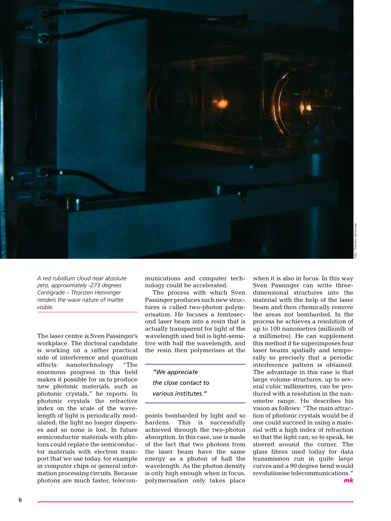

*A red rubidium cloud near absolute zero, approximately -273 degrees Centigrade – Thorsten Henninger renders the wave nature of matter visible.*

The laser centre is Sven Passinger's workplace. The doctoral candidate is working on a rather practical side of interference and quantum effects: nanotechnology. "The enormous progress in this field makes it possible for us to produce new photonic materials, such as photonic crystals," he reports. In photonic crystals the refractive index on the scale of the wavelength of light is periodically modulated; the light no longer disperses and so none is lost. In future semiconductor materials with photons could replace the semiconductor materials with electron transport that we use today, for example in computer chips or general information processing circuits. Because photons are much faster, telecom

munications and computer technology could be accelerated.

The process with which Sven Passinger produces such new structures is called two-photon polymerisation. He focuses a femtosecond laser beam into a resin that is actually transparent for light of the wavelength used but is light-sensitive with half the wavelength, and the resin then polymerises at the

*"We appreciate the close contact to various institutes."*

points bombarded by light and so hardens. This is successfully achieved through the two-photon absorption. In this case, use is made of the fact that two photons from the laser beam have the same energy as a photon of half the wavelength. As the photon density is only high enough when in focus, polymerisation only takes place

when it is also in focus. In this way Sven Passinger can write threedimensional structures into the material with the help of the laser beam and then chemically remove the areas not bombarded. In the process he achieves a resolution of up to 100 nanometres (millionth of a millimetre). He can supplement this method if he superimposes four laser beams spatially and temporally so precisely that a periodic interference pattern is obtained. The advantage in this case is that large volume structures, up to several cubic millimetres, can be produced with a resolution in the nanometre range. He describes his vision as follows: "The main attraction of photonic crystals would be if one could succeed in using a material with a high index of refraction so that the light can, so to speak, be steered around the corner. The glass fibres used today for data transmission run in quite large curves and a 90 degree bend would revolutionise telecommunications."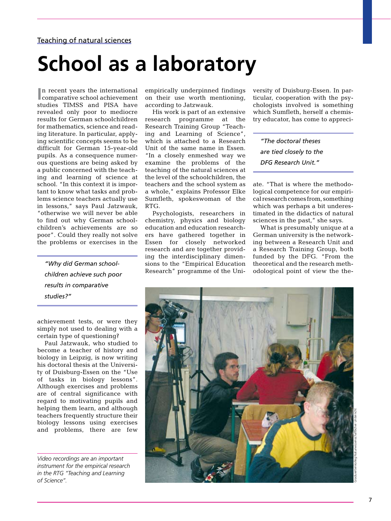## **School as a laboratory**

In recent years the international comparative school achievement n recent years the international studies TIMSS and PISA have revealed only poor to mediocre results for German schoolchildren for mathematics, science and reading literature. In particular, applying scientific concepts seems to be difficult for German 15-year-old pupils. As a consequence numerous questions are being asked by a public concerned with the teaching and learning of science at school. "In this context it is important to know what tasks and problems science teachers actually use in lessons," says Paul Jatzwauk, "otherwise we will never be able to find out why German schoolchildren's achievements are so poor". Could they really not solve the problems or exercises in the

*"Why did German schoolchildren achieve such poor results in comparative studies?"*

achievement tests, or were they simply not used to dealing with a certain type of questioning?

Paul Jatzwauk, who studied to become a teacher of history and biology in Leipzig, is now writing his doctoral thesis at the University of Duisburg-Essen on the "Use of tasks in biology lessons". Although exercises and problems are of central significance with regard to motivating pupils and helping them learn, and although teachers frequently structure their biology lessons using exercises and problems, there are few

*Video recordings are an important instrument for the empirical research in the RTG "Teaching and Learning of Science".*

empirically underpinned findings on their use worth mentioning, according to Jatzwauk.

His work is part of an extensive research programme at the Research Training Group "Teaching and Learning of Science", which is attached to a Research Unit of the same name in Essen. "In a closely enmeshed way we examine the problems of the teaching of the natural sciences at the level of the schoolchildren, the teachers and the school system as a whole," explains Professor Elke Sumfleth, spokeswoman of the RTG.

Psychologists, researchers in chemistry, physics and biology education and education researchers have gathered together in Essen for closely networked research and are together providing the interdisciplinary dimensions to the "Empirical Education Research" programme of the University of Duisburg-Essen. In particular, cooperation with the psychologists involved is something which Sumfleth, herself a chemistry educator, has come to appreci-

*"The doctoral theses are tied closely to the DFG Research Unit."* 

ate. "That is where the methodological competence for our empirical research comes from, something which was perhaps a bit underestimated in the didactics of natural sciences in the past," she says.

What is presumably unique at a German university is the networking between a Research Unit and a Research Training Group, both funded by the DFG. "From the theoretical and the research methodological point of view the the-

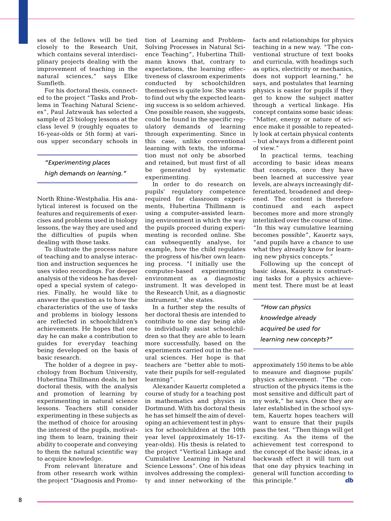ses of the fellows will be tied closely to the Research Unit, which contains several interdisciplinary projects dealing with the improvement of teaching in the natural sciences," says Elke Sumfleth.

For his doctoral thesis, connected to the project "Tasks and Problems in Teaching Natural Sciences", Paul Jatzwauk has selected a sample of 25 biology lessons at the class level 9 (roughly equates to 16-year-olds or 5th form) at various upper secondary schools in

#### *"Experimenting places*

*high demands on learning."*

North Rhine-Westphalia. His analytical interest is focused on the features and requirements of exercises and problems used in biology lessons, the way they are used and the difficulties of pupils when dealing with those tasks.

To illustrate the process nature of teaching and to analyse interaction and instruction sequences he uses video recordings. For deeper analysis of the videos he has developed a special system of categories. Finally, he would like to answer the question as to how the characteristics of the use of tasks and problems in biology lessons are reflected in schoolchildren's achievements. He hopes that one day he can make a contribution to guides for everyday teaching being developed on the basis of basic research.

The holder of a degree in psychology from Bochum University, Hubertina Thillmann deals, in her doctoral thesis, with the analysis and promotion of learning by experimenting in natural science lessons. Teachers still consider experimenting in these subjects as the method of choice for arousing the interest of the pupils, motivating them to learn, training their ability to cooperate and conveying to them the natural scientific way to acquire knowledge.

From relevant literature and from other research work within the project "Diagnosis and Promotion of Learning and Problem-Solving Processes in Natural Science Teaching", Hubertina Thillmann knows that, contrary to expectations, the learning effectiveness of classroom experiments conducted by schoolchildren themselves is quite low. She wants to find out why the expected learning success is so seldom achieved. One possible reason, she suggests, could be found in the specific regulatory demands of learning through experimenting. Since in this case, unlike conventional learning with texts, the information must not only be absorbed and retained, but must first of all be generated by systematic experimenting.

In order to do research on pupils' regulatory competence required for classroom experiments, Hubertina Thillmann is using a computer-assisted learning environment in which the way the pupils proceed during experimenting is recorded online. She can subsequently analyse, for example, how the child regulates the progress of his/her own learning process. "I initially use the computer-based experimenting environment as a diagnostic instrument. It was developed in the Research Unit, as a diagnostic instrument," she states.

In a further step the results of her doctoral thesis are intended to contribute to one day being able to individually assist schoolchildren so that they are able to learn more successfully, based on the experiments carried out in the natural sciences. Her hope is that teachers are "better able to motivate their pupils for self-regulated learning".

Alexander Kauertz completed a course of study for a teaching post in mathematics and physics in Dortmund. With his doctoral thesis he has set himself the aim of developing an achievement test in physics for schoolchildren at the 10th year level (approximately 16-17year-olds). His thesis is related to the project "Vertical Linkage and Cumulative Learning in Natural Science Lessons". One of his ideas involves addressing the complexity and inner networking of the facts and relationships for physics teaching in a new way. "The conventional structure of text books and curricula, with headings such as optics, electricity or mechanics, does not support learning," he says, and postulates that learning physics is easier for pupils if they get to know the subject matter through a vertical linkage. His concept contains some basic ideas: "Matter, energy or nature of science make it possible to repeatedly look at certain physical contents – but always from a different point of view."

In practical terms, teaching according to basic ideas means that concepts, once they have been learned at successive year levels, are always increasingly differentiated, broadened and deepened. The content is therefore continued and each aspect becomes more and more strongly interlinked over the course of time. "In this way cumulative learning becomes possible", Kauertz says, "and pupils have a chance to use what they already know for learning new physics concepts."

Following up the concept of basic ideas, Kauertz is constructing tasks for a physics achievement test. There must be at least

*"How can physics knowledge already acquired be used for learning new concepts?"*

approximately 150 items to be able to measure and diagnose pupils' physics achievement. "The construction of the physics items is the most sensitive and difficult part of my work," he says. Once they are later established in the school system, Kauertz hopes teachers will want to ensure that their pupils pass the test. "Then things will get exciting. As the items of the achievement test correspond to the concept of the basic ideas, in a backwash effect it will turn out that one day physics teaching in general will function according to this principle." *db*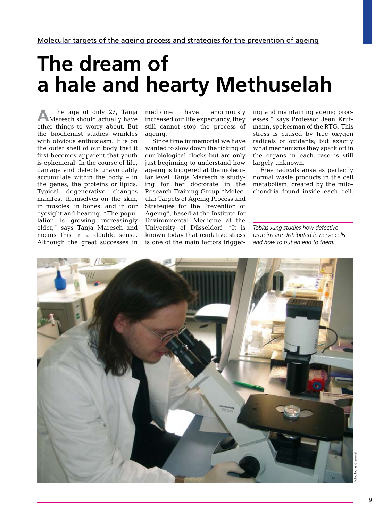## **The dream of a hale and hearty Methuselah**

**A**t the age of only 27, Tanja Maresch should actually have other things to worry about. But the biochemist studies wrinkles with obvious enthusiasm. It is on the outer shell of our body that it first becomes apparent that youth is ephemeral. In the course of life, damage and defects unavoidably accumulate within the body  $-$  in the genes, the proteins or lipids. Typical degenerative changes manifest themselves on the skin, in muscles, in bones, and in our eyesight and hearing. "The population is growing increasingly older," says Tanja Maresch and means this in a double sense. Although the great successes in medicine have enormously increased our life expectancy, they still cannot stop the process of ageing.

Since time immemorial we have wanted to slow down the ticking of our biological clocks but are only just beginning to understand how ageing is triggered at the molecular level. Tanja Maresch is studying for her doctorate in the Research Training Group "Molecular Targets of Ageing Process and Strategies for the Prevention of Ageing", based at the Institute for Environmental Medicine at the University of Düsseldorf. "It is known today that oxidative stress is one of the main factors triggering and maintaining ageing processes," says Professor Jean Krutmann, spokesman of the RTG. This stress is caused by free oxygen radicals or oxidants; but exactly what mechanisms they spark off in the organs in each case is still largely unknown.

Free radicals arise as perfectly normal waste products in the cell metabolism, created by the mitochondria found inside each cell.

*Tobias Jung studies how defective proteins are distributed in nerve cells and how to put an end to them.*

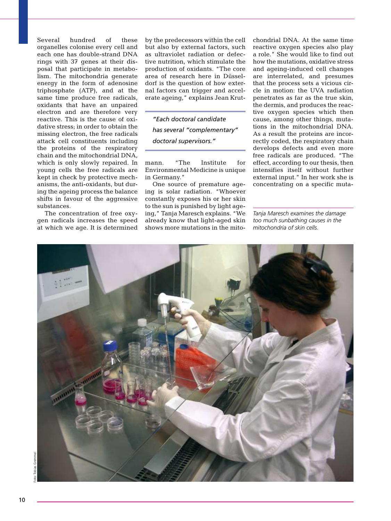Several hundred of these organelles colonise every cell and each one has double-strand DNA rings with 37 genes at their disposal that participate in metabolism. The mitochondria generate energy in the form of adenosine triphosphate (ATP), and at the same time produce free radicals, oxidants that have an unpaired electron and are therefore very reactive. This is the cause of oxidative stress; in order to obtain the missing electron, the free radicals attack cell constituents including the proteins of the respiratory chain and the mitochondrial DNA, which is only slowly repaired. In young cells the free radicals are kept in check by protective mechanisms, the anti-oxidants, but during the ageing process the balance shifts in favour of the aggressive substances.

The concentration of free oxygen radicals increases the speed at which we age. It is determined by the predecessors within the cell but also by external factors, such as ultraviolet radiation or defective nutrition, which stimulate the production of oxidants. "The core area of research here in Düsseldorf is the question of how external factors can trigger and accelerate ageing," explains Jean Krut-

*"Each doctoral candidate has several "complementary" doctoral supervisors."*

mann. "The Institute for Environmental Medicine is unique in Germany."

One source of premature ageing is solar radiation. "Whoever constantly exposes his or her skin to the sun is punished by light ageing," Tanja Maresch explains. "We already know that light-aged skin shows more mutations in the mitochondrial DNA. At the same time reactive oxygen species also play a role." She would like to find out how the mutations, oxidative stress and ageing-induced cell changes are interrelated, and presumes that the process sets a vicious circle in motion: the UVA radiation penetrates as far as the true skin, the dermis, and produces the reactive oxygen species which then cause, among other things, mutations in the mitochondrial DNA. As a result the proteins are incorrectly coded, the respiratory chain develops defects and even more free radicals are produced. "The effect, according to our thesis, then intensifies itself without further external input." In her work she is concentrating on a specific muta-

*Tanja Maresch examines the damage too much sunbathing causes in the mitochondria of skin cells.* 

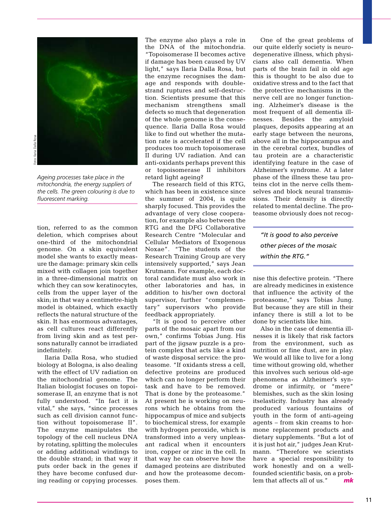

*Ageing processes take place in the mitochondria, the energy suppliers of the cells. The green colouring is due to fluorescent marking.*

tion, referred to as the common deletion, which comprises about one-third of the mitochondrial genome. On a skin equivalent model she wants to exactly measure the damage: primary skin cells mixed with collagen join together in a three-dimensional matrix on which they can sow keratinocytes, cells from the upper layer of the skin; in that way a centimetre-high model is obtained, which exactly reflects the natural structure of the skin. It has enormous advantages, as cell cultures react differently from living skin and as test persons naturally cannot be irradiated indefinitely.

Ilaria Dalla Rosa, who studied biology at Bologna, is also dealing with the effect of UV radiation on the mitochondrial genome. The Italian biologist focuses on topoisomerase II, an enzyme that is not fully understood. "In fact it is vital," she says, "since processes such as cell division cannot function without topoisomerase II". The enzyme manipulates the topology of the cell nucleus DNA by rotating, splitting the molecules or adding additional windings to the double strand; in that way it puts order back in the genes if they have become confused during reading or copying processes.

The enzyme also plays a role in the DNA of the mitochondria. "Topoisomerase II becomes active if damage has been caused by UV light," says Ilaria Dalla Rosa, but the enzyme recognises the damage and responds with doublestrand ruptures and self-destruction. Scientists presume that this mechanism strengthens small defects so much that degeneration of the whole genome is the consequence. Ilaria Dalla Rosa would like to find out whether the mutation rate is accelerated if the cell produces too much topoisomerase II during UV radiation. And can anti-oxidants perhaps prevent this or topoisomerase II inhibitors retard light ageing?

The research field of this RTG, which has been in existence since the summer of 2004, is quite sharply focused. This provides the advantage of very close cooperation, for example also between the RTG and the DFG Collaborative Research Centre "Molecular and Cellular Mediators of Exogenous Noxae". "The students of the Research Training Group are very intensively supported," says Jean Krutmann. For example, each doctoral candidate must also work in other laboratories and has, in addition to his/her own doctoral supervisor, further "complementary" supervisors who provide feedback appropriately.

"It is good to perceive other parts of the mosaic apart from our own," confirms Tobias Jung. His part of the jigsaw puzzle is a protein complex that acts like a kind of waste disposal service: the proteasome. "If oxidants stress a cell, defective proteins are produced which can no longer perform their task and have to be removed. That is done by the proteasome." At present he is working on neurons which he obtains from the hippocampus of mice and subjects to biochemical stress, for example with hydrogen peroxide, which is transformed into a very unpleasant radical when it encounters iron, copper or zinc in the cell. In that way he can observe how the damaged proteins are distributed and how the proteasome decomposes them.

One of the great problems of our quite elderly society is neurodegenerative illness, which physicians also call dementia. When parts of the brain fail in old age this is thought to be also due to oxidative stress and to the fact that the protective mechanisms in the nerve cell are no longer functioning. Alzheimer's disease is the most frequent of all dementia illnesses. Besides the amyloid plaques, deposits appearing at an early stage between the neurons, above all in the hippocampus and in the cerebral cortex, bundles of tau protein are a characteristic identifying feature in the case of Alzheimer's syndrome. At a later phase of the illness these tau proteins clot in the nerve cells themselves and block neural transmissions. Their density is directly related to mental decline. The proteasome obviously does not recog-

*"It is good to also perceive other pieces of the mosaic within the RTG."*

nise this defective protein. "There are already medicines in existence that influence the activity of the proteasome," says Tobias Jung. But because they are still in their infancy there is still a lot to be done by scientists like him.

Also in the case of dementia illnesses it is likely that risk factors from the environment, such as nutrition or fine dust, are in play. We would all like to live for a long time without growing old, whether this involves such serious old-age phenomena as Alzheimer's syndrome or infirmity, or "mere" blemishes, such as the skin losing itselasticity. Industry has already produced various fountains of youth in the form of anti-ageing agents – from skin creams to hormone replacement products and dietary supplements. "But a lot of it is just hot air," judges Jean Krutmann. "Therefore we scientists have a special responsibility to work honestly and on a wellfounded scientific basis, on a problem that affects all of us." *mk*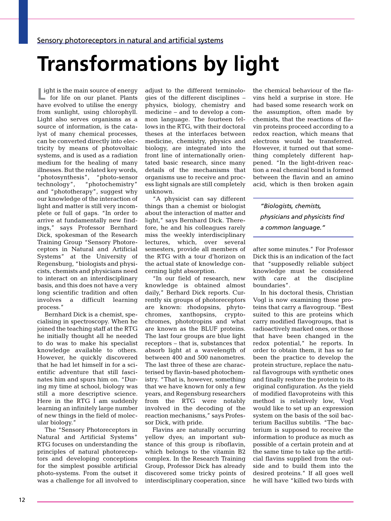# **Transformations by light**

**L** ight is the main source of energy<br>for life on our planet. Plants for life on our planet. Plants have evolved to utilise the energy from sunlight, using chlorophyll. Light also serves organisms as a source of information, is the catalyst of many chemical processes, can be converted directly into electricity by means of photovoltaic systems, and is used as a radiation medium for the healing of many illnesses. But the related key words, "photosynthesis", "photo-sensor technology", "photochemistry" and "phototherapy", suggest why our knowledge of the interaction of light and matter is still very incomplete or full of gaps. "In order to arrive at fundamentally new findings," says Professor Bernhard Dick, spokesman of the Research Training Group "Sensory Photoreceptors in Natural and Artificial Systems" at the University of Regensburg, "biologists and physicists, chemists and physicians need to interact on an interdisciplinary basis, and this does not have a very long scientific tradition and often involves a difficult learning process."

Bernhard Dick is a chemist, specialising in spectroscopy. When he joined the teaching staff at the RTG he initially thought all he needed to do was to make his specialist knowledge available to others. However, he quickly discovered that he had let himself in for a scientific adventure that still fascinates him and spurs him on. "During my time at school, biology was still a more descriptive science. Here in the RTG I am suddenly learning an infinitely large number of new things in the field of molecular biology."

The "Sensory Photoreceptors in Natural and Artificial Systems" RTG focuses on understanding the principles of natural photoreceptors and developing conceptions for the simplest possible artificial photo-systems. From the outset it was a challenge for all involved to

adjust to the different terminologies of the different disciplines – physics, biology, chemistry and medicine – and to develop a common language. The fourteen fellows in the RTG, with their doctoral theses at the interfaces between medicine, chemistry, physics and biology, are integrated into the front line of internationally orientated basic research, since many details of the mechanisms that organisms use to receive and process light signals are still completely unknown.

"A physicist can say different things than a chemist or biologist about the interaction of matter and light," says Bernhard Dick. Therefore, he and his colleagues rarely miss the weekly interdisciplinary lectures, which, over several semesters, provide all members of the RTG with a tour d'horizon on the actual state of knowledge concerning light absorption.

"In our field of research, new knowledge is obtained almost daily," Berhard Dick reports. Currently six groups of photoreceptors are known: rhodopsins, phytochromes, xanthopsins, cryptochromes, phototropins and what are known as the BLUF proteins. The last four groups are blue light receptors – that is, substances that absorb light at a wavelength of between 400 and 500 nanometres. The last three of these are characterised by flavin-based photochemistry. "That is, however, something that we have known for only a few years, and Regensburg researchers from the RTG were notably involved in the decoding of the reaction mechanisms," says Professor Dick, with pride.

Flavins are naturally occurring yellow dyes; an important substance of this group is riboflavin, which belongs to the vitamin B2 complex. In the Research Training Group, Professor Dick has already discovered some tricky points of interdisciplinary cooperation, since the chemical behaviour of the flavins held a surprise in store. He had based some research work on the assumption, often made by chemists, that the reactions of flavin proteins proceed according to a redox reaction, which means that electrons would be transferred. However, it turned out that something completely different happened. "In the light-driven reaction a real chemical bond is formed between the flavin and an amino acid, which is then broken again

*"Biologists, chemists, physicians and physicists find a common language."*

after some minutes." For Professor Dick this is an indication of the fact that "supposedly reliable subject knowledge must be considered with care at the discipline boundaries".

In his doctoral thesis, Christian Vogl is now examining those proteins that carry a flavogroup. "Best suited to this are proteins which carry modified flavogroups, that is radioactively marked ones, or those that have been changed in the redox potential," he reports. In order to obtain them, it has so far been the practice to develop the protein structure, replace the natural flavogroups with synthetic ones and finally restore the protein to its original configuration. As the yield of modified flavoproteins with this method is relatively low, Vogl would like to set up an expression system on the basis of the soil bacterium Bacillus subtilis. "The bacterium is supposed to receive the information to produce as much as possible of a certain protein and at the same time to take up the artificial flavins supplied from the outside and to build them into the desired proteins." If all goes well he will have "killed two birds with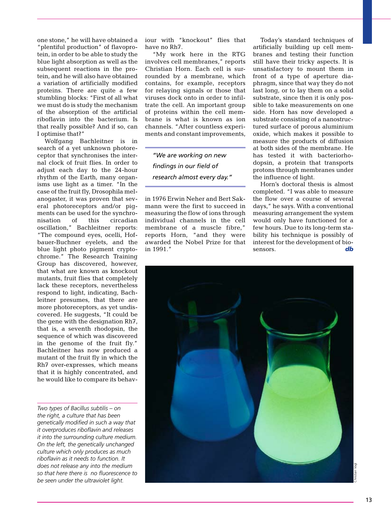one stone," he will have obtained a "plentiful production" of flavoprotein, in order to be able to study the blue light absorption as well as the subsequent reactions in the protein, and he will also have obtained a variation of artificially modified proteins. There are quite a few stumbling blocks: "First of all what we must do is study the mechanism of the absorption of the artificial riboflavin into the bacterium. Is that really possible? And if so, can I optimise that?"

Wolfgang Bachleitner is in search of a yet unknown photoreceptor that synchronises the internal clock of fruit flies. In order to adjust each day to the 24-hour rhythm of the Earth, many organisms use light as a timer. "In the case of the fruit fly, Drosophila melanogaster, it was proven that several photoreceptors and/or pigments can be used for the synchronisation of this circadian oscillation," Bachleitner reports: "The compound eyes, ocelli, Hofbauer-Buchner eyelets, and the blue light photo pigment cryptochrome." The Research Training Group has discovered, however, that what are known as knockout mutants, fruit flies that completely lack these receptors, nevertheless respond to light, indicating, Bachleitner presumes, that there are more photoreceptors, as yet undiscovered. He suggests, "It could be the gene with the designation Rh7, that is, a seventh rhodopsin, the sequence of which was discovered in the genome of the fruit fly." Bachleitner has now produced a mutant of the fruit fly in which the Rh7 over-expresses, which means that it is highly concentrated, and he would like to compare its behav-

*Two types of Bacillus subtilis – on the right, a culture that has been genetically modified in such a way that it overproduces riboflavin and releases it into the surrounding culture medium. On the left, the genetically unchanged culture which only produces as much riboflavin as it needs to function. It does not release any into the medium so that here there is no fluorescence to be seen under the ultraviolet light.*

iour with "knockout" flies that have no Rh7.

"My work here in the RTG involves cell membranes," reports Christian Horn. Each cell is surrounded by a membrane, which contains, for example, receptors for relaying signals or those that viruses dock onto in order to infiltrate the cell. An important group of proteins within the cell membrane is what is known as ion channels. "After countless experiments and constant improvements,

*"We are working on new findings in our field of research almost every day."*

in 1976 Erwin Neher and Bert Sakmann were the first to succeed in measuring the flow of ions through individual channels in the cell membrane of a muscle fibre," reports Horn, "and they were awarded the Nobel Prize for that in 1991."

Today's standard techniques of artificially building up cell membranes and testing their function still have their tricky aspects. It is unsatisfactory to mount them in front of a type of aperture diaphragm, since that way they do not last long, or to lay them on a solid substrate, since then it is only possible to take measurements on one side. Horn has now developed a substrate consisting of a nanostructured surface of porous aluminium oxide, which makes it possible to measure the products of diffusion at both sides of the membrane. He has tested it with bacteriorhodopsin, a protein that transports protons through membranes under the influence of light.

Horn's doctoral thesis is almost completed. "I was able to measure the flow over a course of several days," he says. With a conventional measuring arrangement the system would only have functioned for a few hours. Due to its long-term stability his technique is possibly of interest for the development of biosensors. **db** 

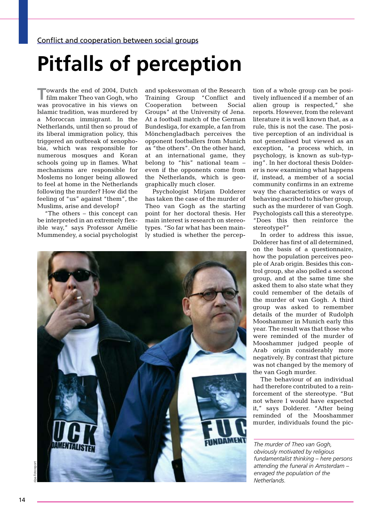# **Pitfalls of perception**

**T**owards the end of 2004, Dutch film maker Theo van Gogh, who was provocative in his views on Islamic tradition, was murdered by a Moroccan immigrant. In the Netherlands, until then so proud of its liberal immigration policy, this triggered an outbreak of xenophobia, which was responsible for numerous mosques and Koran schools going up in flames. What mechanisms are responsible for Moslems no longer being allowed to feel at home in the Netherlands following the murder? How did the feeling of "us" against "them", the Muslims, arise and develop?

"The others – this concept can be interpreted in an extremely flexible way," says Professor Amélie Mummendey, a social psychologist

and spokeswoman of the Research Training Group "Conflict and Cooperation between Social Groups" at the University of Jena. At a football match of the German Bundesliga, for example, a fan from Mönchengladbach perceives the opponent footballers from Munich as "the others". On the other hand, at an international game, they belong to "his" national team – even if the opponents come from the Netherlands, which is geographically much closer.

Psychologist Mirjam Dolderer has taken the case of the murder of Theo van Gogh as the starting point for her doctoral thesis. Her main interest is research on stereotypes. "So far what has been mainly studied is whether the percep-



tion of a whole group can be positively influenced if a member of an alien group is respected," she reports. However, from the relevant literature it is well known that, as a rule, this is not the case. The positive perception of an individual is not generalised but viewed as an exception, "a process which, in psychology, is known as sub-typing". In her doctoral thesis Dolderer is now examining what happens if, instead, a member of a social community confirms in an extreme way the characteristics or ways of behaving ascribed to his/her group, such as the murderer of van Gogh. Psychologists call this a stereotype. "Does this then reinforce the stereotype?"

In order to address this issue, Dolderer has first of all determined, on the basis of a questionnaire, how the population perceives people of Arab origin. Besides this control group, she also polled a second group, and at the same time she asked them to also state what they could remember of the details of the murder of van Gogh. A third group was asked to remember details of the murder of Rudolph Mooshammer in Munich early this year. The result was that those who were reminded of the murder of Mooshammer judged people of Arab origin considerably more negatively. By contrast that picture was not changed by the memory of the van Gogh murder.

The behaviour of an individual had therefore contributed to a reinforcement of the stereotype. "But not where I would have expected it," says Dolderer. "After being reminded of the Mooshammer murder, individuals found the pic-

*The murder of Theo van Gogh, obviously motivated by religious fundamentalist thinking – here persons attending the funeral in Amsterdam – enraged the population of the Netherlands.*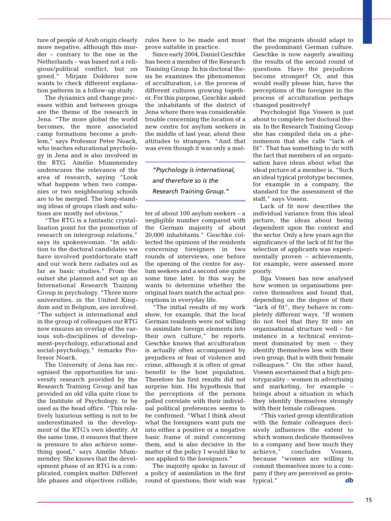ture of people of Arab origin clearly more negative, although this murder – contrary to the one in the Netherlands – was based not a religious/political conflict, but on greed." Mirjam Dolderer now wants to check different explanation patterns in a follow-up study.

The dynamics and change processes within and between groups are the theme of the research in Jena. "The more global the world becomes, the more associated camp formations become a problem," says Professor Peter Noack, who teaches educational psychology in Jena and is also involved in the RTG. Amélie Mummendey underscores the relevance of the area of research, saying "Look what happens when two companies or two neighbouring schools are to be merged. The long-standing ideas of groups clash and solutions are mostly not obvious."

"The RTG is a fantastic crystallisation point for the promotion of research on intergroup relations," says its spokeswoman. "In addition to the doctoral candidates we have involved postdoctorate staff and our work here radiates out as far as basic studies." From the outset she planned and set up an International Research Training Group in psychology. "Three more universities, in the United Kingdom and in Belgium, are involved. "The subject is international and in the group of colleagues our RTG now ensures an overlap of the various sub-disciplines of development-psychology, educational and social-psychology," remarks Professor Noack.

The University of Jena has recognised the opportunities for university research provided by the Research Training Group and has provided an old villa quite close to the Institute of Psychology, to be used as the head office. "This relatively luxurious setting is not to be underestimated in the development of the RTG's own identity. At the same time, it ensures that there is pressure to also achieve something good," says Amélie Mummendey. She knows that the development phase of an RTG is a complicated, complex matter. Different life phases and objectives collide; rules have to be made and must prove suitable in practice.

Since early 2004, Daniel Geschke has been a member of the Research Training Group. In his doctoral thesis he examines the phenomenon of acculturation, i.e. the process of different cultures growing together. For this purpose, Geschke asked the inhabitants of the district of Jena where there was considerable trouble concerning the location of a new centre for asylum seekers in the middle of last year, about their attitudes to strangers. "And that was even though it was only a mat-

*"Psychology is international, and therefore so is the Research Training Group."*

ter of about 100 asylum seekers – a negligible number compared with the German majority of about 20,000 inhabitants." Geschke collected the opinions of the residents concerning foreigners in two rounds of interviews, one before the opening of the centre for asylum seekers and a second one quite some time later. In this way he wants to determine whether the original fears match the actual perceptions in everyday life.

"The initial results of my work show, for example, that the local German residents were not willing to assimilate foreign elements into their own culture," he reports. Geschke knows that acculturation is actually often accompanied by prejudices or fear of violence and crime, although it is often of great benefit to the host population. Therefore his first results did not surprise him. His hypothesis that the perceptions of the persons polled correlate with their individual political preferences seems to be confirmed. "What I think about what the foreigners want puts me into either a positive or a negative basic frame of mind concerning them, and is also decisive in the matter of the policy I would like to see applied to the foreigners."

The majority spoke in favour of a policy of assimilation in the first round of questions; their wish was that the migrants should adapt to the predominant German culture. Geschke is now eagerly awaiting the results of the second round of questions. Have the prejudices become stronger? Or, and this would really please him, have the perceptions of the foreigner in the process of acculturation perhaps changed positively?

Psychologist Ilga Vossen is just about to complete her doctoral thesis. In the Research Training Group she has compiled data on a phenomenon that she calls "lack of fit". That has something to do with the fact that members of an organisation have ideas about what the ideal picture of a member is. "Such an ideal typical prototype becomes, for example in a company, the standard for the assessment of the staff," says Vossen.

Lack of fit now describes the individual variance from this ideal picture, the ideas about being dependent upon the context and the sector. Only a few years ago the significance of the lack of fit for the selection of applicants was experimentally proven – achievements, for example, were assessed more poorly.

Ilga Vossen has now analysed how women in organisations perceive themselves and found that, depending on the degree of their "lack of fit", they behave in completely different ways. "If women do not feel that they fit into an organisational structure well – for instance in a technical environment dominated by men – they identify themselves less with their own group, that is with their female colleagues." On the other hand, Vossen ascertained that a high prototypicality – women in advertising and marketing, for example – brings about a situation in which they identify themselves strongly with their female colleagues.

"This varied group identification with the female colleagues decisively influences the extent to which women dedicate themselves to a company and how much they achieve," concludes Vossen, because "women are willing to commit themselves more to a company if they are perceived as prototypical." *db*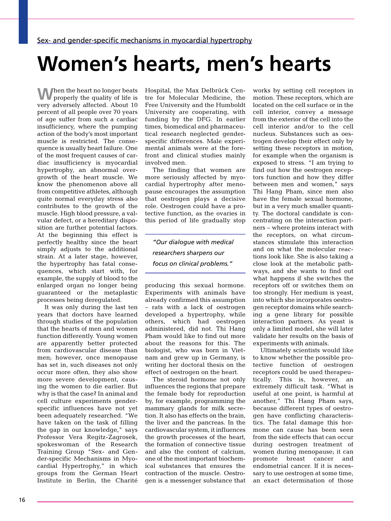## **Women's hearts, men's hearts**

**When the heart no longer beats** properly the quality of life is very adversely affected. About 10 percent of all people over 70 years of age suffer from such a cardiac insufficiency, where the pumping action of the body's most important muscle is restricted. The consequence is usually heart failure. One of the most frequent causes of cardiac insufficiency is myocardial hypertrophy, an abnormal overgrowth of the heart muscle. We know the phenomenon above all from competitive athletes, although quite normal everyday stress also contributes to the growth of the muscle. High blood pressure, a valvular defect, or a hereditary disposition are further potential factors. At the beginning this effect is perfectly healthy since the heart simply adjusts to the additional strain. At a later stage, however, the hypertrophy has fatal consequences, which start with, for example, the supply of blood to the enlarged organ no longer being guaranteed or the metaplastic processes being deregulated.

It was only during the last ten years that doctors have learned through studies of the population that the hearts of men and women function differently. Young women are apparently better protected from cardiovascular disease than men; however, once menopause has set in, such diseases not only occur more often, they also show more severe development, causing the women to die earlier. But why is that the case? In animal and cell culture experiments genderspecific influences have not yet been adequately researched. "We have taken on the task of filling the gap in our knowledge," says Professor Vera Regitz-Zagrosek, spokeswoman of the Research Training Group "Sex- and Gender-specific Mechanisms in Myocardial Hypertrophy," in which groups from the German Heart Institute in Berlin, the Charité

Hospital, the Max Delbrück Centre for Molecular Medicine, the Free University and the Humboldt University are cooperating, with funding by the DFG. In earlier times, biomedical and pharmaceutical research neglected genderspecific differences. Male experimental animals were at the forefront and clinical studies mainly involved men.

The finding that women are more seriously affected by myocardial hypertrophy after menopause encourages the assumption that oestrogen plays a decisive role. Oestrogen could have a protective function, as the ovaries in this period of life gradually stop

*"Our dialogue with medical researchers sharpens our focus on clinical problems."* 

producing this sexual hormone. Experiments with animals have already confirmed this assumption – rats with a lack of oestrogen developed a hypertrophy, while others, which had oestrogen administered, did not. Thi Hang Pham would like to find out more about the reasons for this. The biologist, who was born in Vietnam and grew up in Germany, is writing her doctoral thesis on the effect of oestrogen on the heart.

The steroid hormone not only influences the regions that prepare the female body for reproduction by, for example, programming the mammary glands for milk secretion. It also has effects on the brain, the liver and the pancreas. In the cardiovascular system, it influences the growth processes of the heart, the formation of connective tissue and also the content of calcium, one of the most important biochemical substances that ensures the contraction of the muscle. Oestrogen is a messenger substance that works by setting cell receptors in motion. These receptors, which are located on the cell surface or in the cell interior, convey a message from the exterior of the cell into the cell interior and/or to the cell nucleus. Substances such as oestrogen develop their effect only by setting these receptors in motion, for example when the organism is exposed to stress. "I am trying to find out how the oestrogen receptors function and how they differ between men and women," says Thi Hang Pham, since men also have the female sexual hormone, but in a very much smaller quantity. The doctoral candidate is concentrating on the interaction partners – where proteins interact with the receptors, on what circumstances stimulate this interaction and on what the molecular reactions look like. She is also taking a close look at the metabolic pathways, and she wants to find out what happens if she switches the receptors off or switches them on too strongly. Her medium is yeast, into which she incorporates oestrogen receptor domains while searching a gene library for possible interaction partners. As yeast is only a limited model, she will later validate her results on the basis of experiments with animals.

Ultimately scientists would like to know whether the possible protective function of oestrogen receptors could be used therapeutically. This is, however, an extremely difficult task. "What is useful at one point, is harmful at another," Thi Hang Pham says, because different types of oestrogen have conflicting characteristics. The fatal damage this hormone can cause has been seen from the side effects that can occur during oestrogen treatment of women during menopause; it can promote breast cancer and endometrial cancer. If it is necessary to use oestrogen at some time, an exact determination of those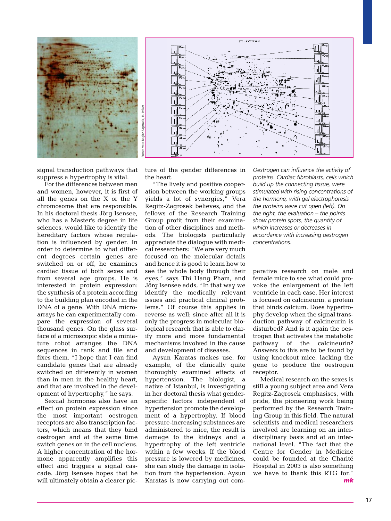

signal transduction pathways that suppress a hypertrophy is vital.

For the differences between men and women, however, it is first of all the genes on the X or the Y chromosome that are responsible. In his doctoral thesis Jörg Isensee, who has a Master's degree in life sciences, would like to identify the hereditary factors whose regulation is influenced by gender. In order to determine to what different degrees certain genes are switched on or off, he examines cardiac tissue of both sexes and from several age groups. He is interested in protein expression: the synthesis of a protein according to the building plan encoded in the DNA of a gene. With DNA microarrays he can experimentally compare the expression of several thousand genes. On the glass surface of a microscopic slide a miniature robot arranges the DNA sequences in rank and file and fixes them. "I hope that I can find candidate genes that are already switched on differently in women than in men in the healthy heart, and that are involved in the development of hypertrophy," he says.

Sexual hormones also have an effect on protein expression since the most important oestrogen receptors are also transcription factors, which means that they bind oestrogen and at the same time switch genes on in the cell nucleus. A higher concentration of the hormone apparently amplifies this effect and triggers a signal cascade. Jörg Isensee hopes that he will ultimately obtain a clearer picture of the gender differences in the heart.

**STD + YXYTHSL:N** 

"The lively and positive cooperation between the working groups yields a lot of synergies," Vera Regitz-Zagrosek believes, and the fellows of the Research Training Group profit from their examination of other disciplines and methods. The biologists particularly appreciate the dialogue with medical researchers: "We are very much focused on the molecular details and hence it is good to learn how to see the whole body through their eyes," says Thi Hang Pham, and Jörg Isensee adds, "In that way we identify the medically relevant issues and practical clinical problems." Of course this applies in reverse as well; since after all it is only the progress in molecular biological research that is able to clarify more and more fundamental mechanisms involved in the cause and development of diseases.

Aysun Karatas makes use, for example, of the clinically quite thoroughly examined effects of hypertension. The biologist, a native of Istanbul, is investigating in her doctoral thesis what genderspecific factors independent of hypertension promote the development of a hypertrophy. If blood pressure-increasing substances are administered to mice, the result is damage to the kidneys and a hypertrophy of the left ventricle within a few weeks. If the blood pressure is lowered by medicines, she can study the damage in isolation from the hypertension. Aysun Karatas is now carrying out com*Oestrogen can influence the activity of proteins. Cardiac fibroblasts, cells which build up the connecting tissue, were stimulated with rising concentrations of the hormone; with gel electrophoresis the proteins were cut open (left). On the right, the evaluation – the points show protein spots, the quantity of which increases or decreases in accordance with increasing oestrogen concentrations.*

parative research on male and female mice to see what could provoke the enlargement of the left ventricle in each case. Her interest is focused on calcineurin, a protein that binds calcium. Does hypertrophy develop when the signal transduction pathway of calcineurin is disturbed? And is it again the oestrogen that activates the metabolic pathway of the calcineurin? Answers to this are to be found by using knockout mice, lacking the gene to produce the oestrogen receptor.

Medical research on the sexes is still a young subject area and Vera Regitz-Zagrosek emphasises, with pride, the pioneering work being performed by the Research Training Group in this field. The natural scientists and medical researchers involved are learning on an interdisciplinary basis and at an international level. "The fact that the Centre for Gender in Medicine could be founded at the Charité Hospital in 2003 is also something we have to thank this RTG for." *mk*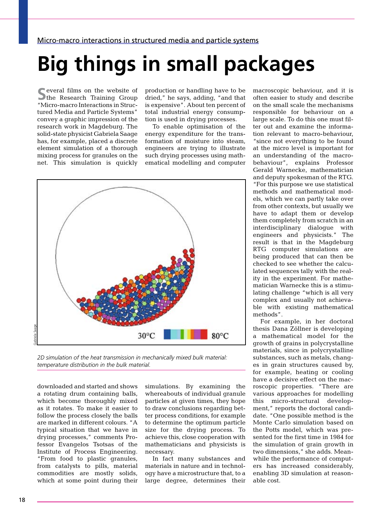# **Big things in small packages**

**S**everal films on the website of **The Research Training Group** "Micro-macro Interactions in Structured Media and Particle Systems" convey a graphic impression of the research work in Magdeburg. The solid-state physicist Gabriela Saage has, for example, placed a discrete element simulation of a thorough mixing process for granules on the net. This simulation is quickly production or handling have to be dried," he says, adding, "and that is expensive". About ten percent of total industrial energy consumption is used in drying processes.

To enable optimisation of the energy expenditure for the transformation of moisture into steam, engineers are trying to illustrate such drying processes using mathematical modelling and computer



*2D simulation of the heat transmission in mechanically mixed bulk material: temperature distribution in the bulk material.*

downloaded and started and shows a rotating drum containing balls, which become thoroughly mixed as it rotates. To make it easier to follow the process closely the balls are marked in different colours. "A typical situation that we have in drying processes," comments Professor Evangelos Tsotsas of the Institute of Process Engineering. "From food to plastic granules, from catalysts to pills, material commodities are mostly solids, which at some point during their

simulations. By examining the whereabouts of individual granule particles at given times, they hope to draw conclusions regarding better process conditions, for example to determine the optimum particle size for the drying process. To achieve this, close cooperation with mathematicians and physicists is necessary.

In fact many substances and materials in nature and in technology have a microstructure that, to a large degree, determines their macroscopic behaviour, and it is often easier to study and describe on the small scale the mechanisms responsible for behaviour on a large scale. To do this one must filter out and examine the information relevant to macro-behaviour, "since not everything to be found at the micro level is important for an understanding of the macrobehaviour", explains Professor Gerald Warnecke, mathematician and deputy spokesman of the RTG. "For this purpose we use statistical methods and mathematical models, which we can partly take over from other contexts, but usually we have to adapt them or develop them completely from scratch in an interdisciplinary dialogue with engineers and physicists." The result is that in the Magdeburg RTG computer simulations are being produced that can then be checked to see whether the calculated sequences tally with the reality in the experiment. For mathematician Warnecke this is a stimulating challenge "which is all very complex and usually not achievable with existing mathematical methods".

For example, in her doctoral thesis Dana Zöllner is developing a mathematical model for the growth of grains in polycrystalline materials, since in polycrystalline substances, such as metals, changes in grain structures caused by, for example, heating or cooling have a decisive effect on the macroscopic properties. "There are various approaches for modelling this micro-structural development," reports the doctoral candidate. "One possible method is the Monte Carlo simulation based on the Potts model, which was presented for the first time in 1984 for the simulation of grain growth in two dimensions," she adds. Meanwhile the performance of computers has increased considerably, enabling 3D simulation at reasonable cost.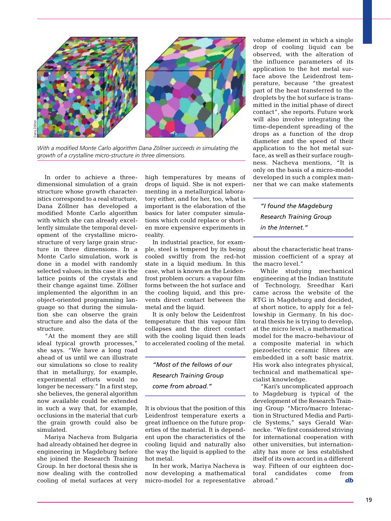

With a modified Monte Carlo algorithm Dana Zöllner succeeds in simulating the *growth of a crystalline micro-structure in three dimensions.*

In order to achieve a threedimensional simulation of a grain structure whose growth characteristics correspond to a real structure, Dana Zöllner has developed a modified Monte Carlo algorithm with which she can already excellently simulate the temporal development of the crystalline microstructure of very large grain structure in three dimensions. In a Monte Carlo simulation, work is done in a model with randomly selected values; in this case it is the lattice points of the crystals and their change against time. Zöllner implemented the algorithm in an object-oriented programming language so that during the simulation she can observe the grain structure and also the data of the structure.

"At the moment they are still ideal typical growth processes," she says. "We have a long road ahead of us until we can illustrate our simulations so close to reality that in metallurgy, for example, experimental efforts would no longer be necessary." In a first step, she believes, the general algorithm now available could be extended in such a way that, for example, occlusions in the material that curb the grain growth could also be simulated.

Mariya Nacheva from Bulgaria had already obtained her degree in engineering in Magdeburg before she joined the Research Training Group. In her doctoral thesis she is now dealing with the controlled cooling of metal surfaces at very

high temperatures by means of drops of liquid. She is not experimenting in a metallurgical laboratory either, and for her, too, what is important is the elaboration of the basics for later computer simulations which could replace or shorten more expensive experiments in reality.

In industrial practice, for example, steel is tempered by its being cooled swiftly from the red-hot state in a liquid medium. In this case, what is known as the Leidenfrost problem occurs: a vapour film forms between the hot surface and the cooling liquid, and this prevents direct contact between the metal and the liquid.

It is only below the Leidenfrost temperature that this vapour film collapses and the direct contact with the cooling liquid then leads to accelerated cooling of the metal.

*"Most of the fellows of our Research Training Group come from abroad."*

It is obvious that the position of this Leidenfrost temperature exerts a great influence on the future properties of the material. It is dependent upon the characteristics of the cooling liquid and naturally also the way the liquid is applied to the hot metal.

In her work, Mariya Nacheva is now developing a mathematical micro-model for a representative

volume element in which a single drop of cooling liquid can be observed, with the alteration of the influence parameters of its application to the hot metal surface above the Leidenfrost temperature, because "the greatest part of the heat transferred to the droplets by the hot surface is transmitted in the initial phase of direct contact", she reports. Future work will also involve integrating the time-dependent spreading of the drops as a function of the drop diameter and the speed of their application to the hot metal surface, as well as their surface roughness. Nacheva mentions, "It is only on the basis of a micro-model developed in such a complex manner that we can make statements

*"I found the Magdeburg Research Training Group in the Internet."*

about the characteristic heat transmission coefficient of a spray at the macro level."

While studying mechanical engineering at the Indian Institute of Technology, Sreedhar Kari came across the website of the RTG in Magdeburg and decided, at short notice, to apply for a fellowship in Germany. In his doctoral thesis he is trying to develop, at the micro level, a mathematical model for the macro-behaviour of a composite material in which piezoelectric ceramic fibres are embedded in a soft basic matrix. His work also integrates physical, technical and mathematical specialist knowledge.

"Kari's uncomplicated approach to Magdeburg is typical of the development of the Research Training Group "Micro/macro Interaction in Structured Media and Particle Systems," says Gerald Warnecke. "We first considered striving for international cooperation with other universities, but internationality has more or less established itself of its own accord in a different way. Fifteen of our eighteen doctoral candidates come from abroad." *db*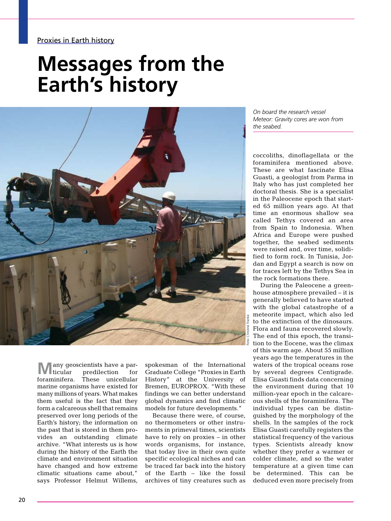### **Messages from the Earth's history**



**Many geoscientists have a particular display predilection for foraminifera. These unicellular** predilection These unicellular marine organisms have existed for many millions of years. What makes them useful is the fact that they form a calcareous shell that remains preserved over long periods of the Earth's history; the information on the past that is stored in them provides an outstanding climate archive. "What interests us is how during the history of the Earth the climate and environment situation have changed and how extreme climatic situations came about," says Professor Helmut Willems,

spokesman of the International Graduate College "Proxies in Earth History" at the University of Bremen, EUROPROX. "With these findings we can better understand global dynamics and find climatic models for future developments."

Because there were, of course, no thermometers or other instruments in primeval times, scientists have to rely on proxies – in other words organisms, for instance, that today live in their own quite specific ecological niches and can be traced far back into the history of the Earth – like the fossil archives of tiny creatures such as *On board the research vessel Meteor: Gravity cores are won from the seabed.*

coccoliths, dinoflagellata or the foraminifera mentioned above. These are what fascinate Elisa Guasti, a geologist from Parma in Italy who has just completed her doctoral thesis. She is a specialist in the Paleocene epoch that started 65 million years ago. At that time an enormous shallow sea called Tethys covered an area from Spain to Indonesia. When Africa and Europe were pushed together, the seabed sediments were raised and, over time, solidified to form rock. In Tunisia, Jordan and Egypt a search is now on for traces left by the Tethys Sea in the rock formations there.

During the Paleocene a greenhouse atmosphere prevailed – it is generally believed to have started with the global catastrophe of a meteorite impact, which also led to the extinction of the dinosaurs. Flora and fauna recovered slowly. The end of this epoch, the transition to the Eocene, was the climax of this warm age. About 55 million years ago the temperatures in the waters of the tropical oceans rose by several degrees Centigrade. Elisa Guasti finds data concerning the environment during that 10 million-year epoch in the calcareous shells of the foraminifera. The individual types can be distinguished by the morphology of the shells. In the samples of the rock Elisa Guasti carefully registers the statistical frequency of the various types. Scientists already know whether they prefer a warmer or colder climate, and so the water temperature at a given time can be determined. This can be deduced even more precisely from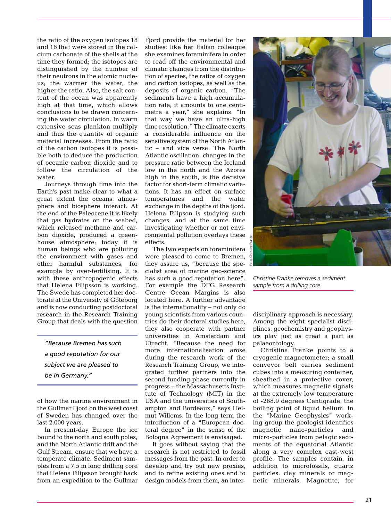the ratio of the oxygen isotopes 18 and 16 that were stored in the calcium carbonate of the shells at the time they formed; the isotopes are distinguished by the number of their neutrons in the atomic nucleus; the warmer the water, the higher the ratio. Also, the salt content of the ocean was apparently high at that time, which allows conclusions to be drawn concerning the water circulation. In warm extensive seas plankton multiply and thus the quantity of organic material increases. From the ratio of the carbon isotopes it is possible both to deduce the production of oceanic carbon dioxide and to follow the circulation of the water.

Journeys through time into the Earth's past make clear to what a great extent the oceans, atmosphere and biosphere interact. At the end of the Paleocene it is likely that gas hydrates on the seabed, which released methane and carbon dioxide, produced a greenhouse atmosphere; today it is human beings who are polluting the environment with gases and other harmful substances, for example by over-fertilising. It is with these anthropogenic effects that Helena Filipsson is working. The Swede has completed her doctorate at the University of Göteborg and is now conducting postdoctoral research in the Research Training Group that deals with the question

*"Because Bremen has such a good reputation for our subject we are pleased to be in Germany."*

of how the marine environment in the Gullmar Fjord on the west coast of Sweden has changed over the last 2,000 years.

In present-day Europe the ice bound to the north and south poles, and the North Atlantic drift and the Gulf Stream, ensure that we have a temperate climate. Sediment samples from a 7.5 m long drilling core that Helena Filipsson brought back from an expedition to the Gullmar

Fiord provide the material for her studies: like her Italian colleague she examines foraminifera in order to read off the environmental and climatic changes from the distribution of species, the ratios of oxygen and carbon isotopes, as well as the deposits of organic carbon. "The sediments have a high accumulation rate; it amounts to one centimetre a year," she explains. "In that way we have an ultra-high time resolution." The climate exerts a considerable influence on the sensitive system of the North Atlantic – and vice versa. The North Atlantic oscillation, changes in the pressure ratio between the Iceland low in the north and the Azores high in the south, is the decisive factor for short-term climatic variations. It has an effect on surface temperatures and the water exchange in the depths of the fjord. Helena Filipson is studying such changes, and at the same time investigating whether or not environmental pollution overlays these effects.

The two experts on foraminifera were pleased to come to Bremen, they assure us, "because the specialist area of marine geo-science has such a good reputation here". For example the DFG Research Centre Ocean Margins is also located here. A further advantage is the internationality – not only do young scientists from various countries do their doctoral studies here, they also cooperate with partner universities in Amsterdam and Utrecht. "Because the need for more internationalisation arose during the research work of the Research Training Group, we integrated further partners into the second funding phase currently in progress – the Massachusetts Institute of Technology (MIT) in the USA and the universities of Southampton and Bordeaux," says Helmut Willems. In the long term the introduction of a "European doctoral degree" in the sense of the Bologna Agreement is envisaged.

It goes without saying that the research is not restricted to fossil messages from the past. In order to develop and try out new proxies, and to refine existing ones and to design models from them, an inter-



*Christine Franke removes a sediment sample from a drilling core.*

disciplinary approach is necessary. Among the eight specialist disciplines, geochemistry and geophysics play just as great a part as palaeontology.

Christina Franke points to a cryogenic magnetometer; a small conveyor belt carries sediment cubes into a measuring container, sheathed in a protective cover, which measures magnetic signals at the extremely low temperature of -268.9 degrees Centigrade, the boiling point of liquid helium. In the "Marine Geophysics" working group the geologist identifies magnetic nano-particles and micro-particles from pelagic sediments of the equatorial Atlantic along a very complex east-west profile. The samples contain, in addition to microfossils, quartz particles, clay minerals or magnetic minerals. Magnetite, for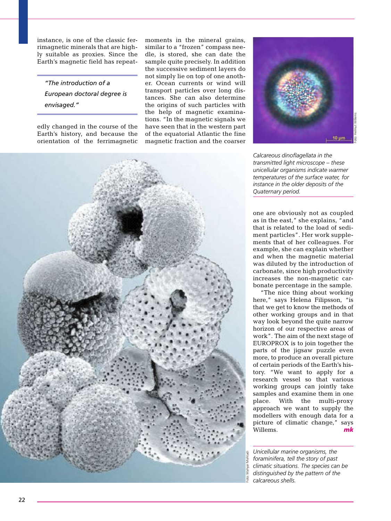instance, is one of the classic ferrimagnetic minerals that are highly suitable as proxies. Since the Earth's magnetic field has repeat-

*"The introduction of a European doctoral degree is envisaged."*

edly changed in the course of the Earth's history, and because the orientation of the ferrimagnetic moments in the mineral grains, similar to a "frozen" compass needle, is stored, she can date the sample quite precisely. In addition the successive sediment layers do not simply lie on top of one another. Ocean currents or wind will transport particles over long distances. She can also determine the origins of such particles with the help of magnetic examinations. "In the magnetic signals we have seen that in the western part of the equatorial Atlantic the fine magnetic fraction and the coarser



*Calcareous dinoflagellata in the transmitted light microscope – these unicellular organisms indicate warmer temperatures of the surface water, for instance in the older deposits of the Quaternary period.*

one are obviously not as coupled as in the east," she explains, "and that is related to the load of sediment particles". Her work supplements that of her colleagues. For example, she can explain whether and when the magnetic material was diluted by the introduction of carbonate, since high productivity increases the non-magnetic carbonate percentage in the sample.

"The nice thing about working here," says Helena Filipsson, "is that we get to know the methods of other working groups and in that way look beyond the quite narrow horizon of our respective areas of work". The aim of the next stage of EUROPROX is to join together the parts of the jigsaw puzzle even more, to produce an overall picture of certain periods of the Earth's history. "We want to apply for a research vessel so that various working groups can jointly take samples and examine them in one place. With the multi-proxy approach we want to supply the modellers with enough data for a picture of climatic change," says Willems. *mk*

*Unicellular marine organisms, the foraminifera, tell the story of past climatic situations. The species can be distinguished by the pattern of the calcareous shells.*

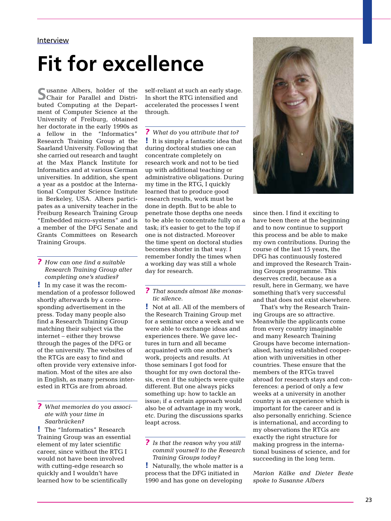#### **Interview**

# **Fit for excellence**

**S**usanne Albers, holder of the Chair for Parallel and Distributed Computing at the Department of Computer Science at the University of Freiburg, obtained her doctorate in the early 1990s as a fellow in the "Informatics" Research Training Group at the Saarland University. Following that she carried out research and taught at the Max Planck Institute for Informatics and at various German universities. In addition, she spent a year as a postdoc at the International Computer Science Institute in Berkeley, USA. Albers participates as a university teacher in the Freiburg Research Training Group "Embedded micro-systems" and is a member of the DFG Senate and Grants Committees on Research Training Groups.

*? How can one find a suitable Research Training Group after completing one's studies?* 

! In my case it was the recommendation of a professor followed shortly afterwards by a corresponding advertisement in the press. Today many people also find a Research Training Group matching their subject via the internet – either they browse through the pages of the DFG or of the university. The websites of the RTGs are easy to find and often provide very extensive information. Most of the sites are also in English, as many persons interested in RTGs are from abroad.

*? What memories do you associate with your time in Saarbrücken?* 

! The "Informatics" Research Training Group was an essential element of my later scientific career, since without the RTG I would not have been involved with cutting-edge research so quickly and I wouldn't have learned how to be scientifically

self-reliant at such an early stage. In short the RTG intensified and accelerated the processes I went through.

*? What do you attribute that to?*  ! It is simply a fantastic idea that during doctoral studies one can concentrate completely on research work and not to be tied up with additional teaching or administrative obligations. During my time in the RTG, I quickly learned that to produce good research results, work must be done in depth. But to be able to penetrate those depths one needs to be able to concentrate fully on a task; it's easier to get to the top if one is not distracted. Moreover the time spent on doctoral studies becomes shorter in that way. I remember fondly the times when a working day was still a whole day for research.

*? That sounds almost like monastic silence.* 

! Not at all. All of the members of the Research Training Group met for a seminar once a week and we were able to exchange ideas and experiences there. We gave lectures in turn and all became acquainted with one another's work, projects and results. At those seminars I got food for thought for my own doctoral thesis, even if the subjects were quite different. But one always picks something up: how to tackle an issue; if a certain approach would also be of advantage in my work, etc. During the discussions sparks leapt across.

*? Is that the reason why you still commit yourself to the Research Training Groups today?* 

! Naturally, the whole matter is a process that the DFG initiated in 1990 and has gone on developing



since then. I find it exciting to have been there at the beginning and to now continue to support this process and be able to make my own contributions. During the course of the last 15 years, the DFG has continuously fostered and improved the Research Training Groups programme. This deserves credit, because as a result, here in Germany, we have something that's very successful and that does not exist elsewhere.

That's why the Research Training Groups are so attractive. Meanwhile the applicants come from every country imaginable and many Research Training Groups have become internationalised, having established cooperation with universities in other countries. These ensure that the members of the RTGs travel abroad for research stays and conferences: a period of only a few weeks at a university in another country is an experience which is important for the career and is also personally enriching. Science is international, and according to my observations the RTGs are exactly the right structure for making progress in the international business of science, and for succeeding in the long term.

*Marion Kälke and Dieter Beste spoke to Susanne Albers*